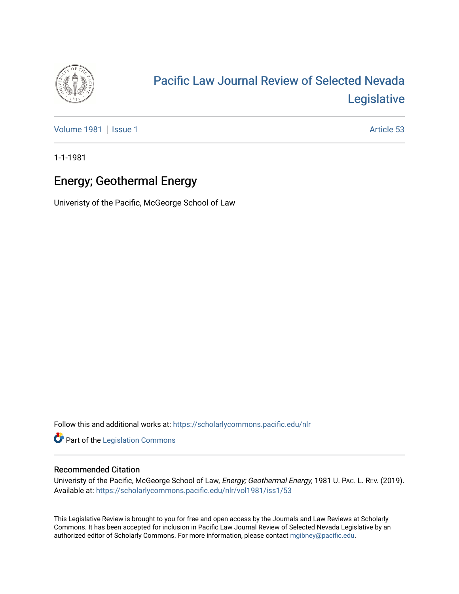

# [Pacific Law Journal Review of Selected Nevada](https://scholarlycommons.pacific.edu/nlr)  [Legislative](https://scholarlycommons.pacific.edu/nlr)

[Volume 1981](https://scholarlycommons.pacific.edu/nlr/vol1981) | [Issue 1](https://scholarlycommons.pacific.edu/nlr/vol1981/iss1) Article 53

1-1-1981

## Energy; Geothermal Energy

Univeristy of the Pacific, McGeorge School of Law

Follow this and additional works at: [https://scholarlycommons.pacific.edu/nlr](https://scholarlycommons.pacific.edu/nlr?utm_source=scholarlycommons.pacific.edu%2Fnlr%2Fvol1981%2Fiss1%2F53&utm_medium=PDF&utm_campaign=PDFCoverPages) 

**Part of the [Legislation Commons](http://network.bepress.com/hgg/discipline/859?utm_source=scholarlycommons.pacific.edu%2Fnlr%2Fvol1981%2Fiss1%2F53&utm_medium=PDF&utm_campaign=PDFCoverPages)** 

### Recommended Citation

Univeristy of the Pacific, McGeorge School of Law, Energy; Geothermal Energy, 1981 U. PAC. L. REV. (2019). Available at: [https://scholarlycommons.pacific.edu/nlr/vol1981/iss1/53](https://scholarlycommons.pacific.edu/nlr/vol1981/iss1/53?utm_source=scholarlycommons.pacific.edu%2Fnlr%2Fvol1981%2Fiss1%2F53&utm_medium=PDF&utm_campaign=PDFCoverPages)

This Legislative Review is brought to you for free and open access by the Journals and Law Reviews at Scholarly Commons. It has been accepted for inclusion in Pacific Law Journal Review of Selected Nevada Legislative by an authorized editor of Scholarly Commons. For more information, please contact [mgibney@pacific.edu](mailto:mgibney@pacific.edu).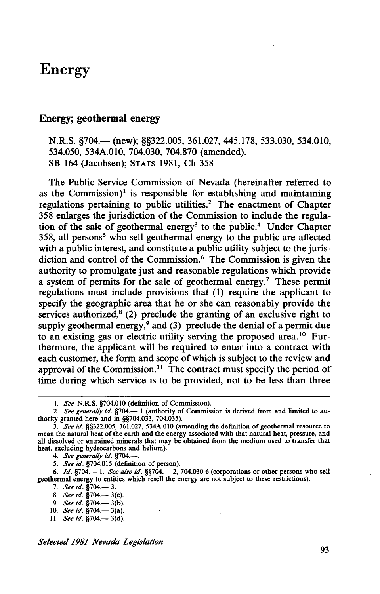## **Energy**

#### **Energy; geothermal energy**

N.R.S. §704.— (new); §§322.005, 361.027, 445.178, 533.030, 534.010, 534.050, 534A.Ol0, 704.030, 704.870 (amended). SB 164 (Jacobsen); STATS 1981, Ch 358

The Public Service Commission of Nevada (hereinafter referred to as the Commission)<sup>1</sup> is responsible for establishing and maintaining regulations pertaining to public utilities.<sup>2</sup> The enactment of Chapter 358 enlarges the jurisdiction of the Commission to include the regulation of the sale of geothermal energy<sup>3</sup> to the public.<sup>4</sup> Under Chapter 358, all persons<sup>5</sup> who sell geothermal energy to the public are affected with a public interest, and constitute a public utility subject to the jurisdiction and control of the Commission.<sup>6</sup> The Commission is given the authority to promulgate just and reasonable regulations which provide a system of permits for the sale of geothermal energy.<sup>7</sup> These permit regulations must include provisions that (1) require the applicant to specify the geographic area that he or she can reasonably provide the services authorized, $8$  (2) preclude the granting of an exclusive right to supply geothermal energy,<sup>9</sup> and (3) preclude the denial of a permit due to an existing gas or electric utility serving the proposed area. 1 ° Furthermore, the applicant will be required to enter into a contract with each customer, the form and scope of which is subject to the review and approval of the Commission.<sup>11</sup> The contract must specify the period of time during which service is to be provided, not to be less than three

4. *See generally id.* §704.-.

5. *See id.* §704.015 (definition of person).

6. */d.* §704.- I. *See also id.* §§704.- 2, 704.030 6 (corporations or other persons who sell geothermal energy to entities which resell the energy are not subject to these restrictions).

7. *See id.* §704.— 3.

9. *See id.* §704.— 3(b).

*Selected 1981 Nevada Legislation* 

93

I. *See* N.R.S. §704.010 (definition of Commission).

<sup>2.</sup> *See generally id.* §704.— 1 (authority of Commission is derived from and limited to authority granted here and in §§704.033, 704.035).

<sup>3.</sup> *See* id. §§322.005, 361.027, 534A.OIO (amending the definition of geothermal resource to mean the natural heat of the earth and the energy associated with that natural heat, pressure, and all dissolved or entrained minerals that may be obtained from the medium used to transfer that heat, excluding hydrocarbons and helium).

<sup>8.</sup> *See id.* §704.— 3(c).

<sup>10.</sup> *See id*. §704.— 3(a).

<sup>11.</sup> *See id.* §704.— 3(d).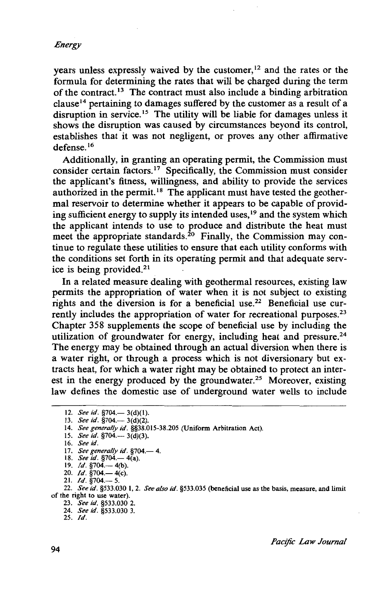years unless expressly waived by the customer,<sup>12</sup> and the rates or the formula for determining the rates that will be charged during the term of the contract.<sup>13</sup> The contract must also include a binding arbitration clause 14 pertaining to damages suffered by the customer as a result of a disruption in service.<sup>15</sup> The utility will be liable for damages unless it shows the disruption was caused by circumstances beyond its control, establishes that it was not negligent, or proves any other affirmative defense.<sup>16</sup>

Additionally, in granting an operating permit, the Commission must consider certain factors. 17 Specifically, the Commission must consider the applicant's fitness, willingness, and ability to provide the services authorized in the permit.<sup>18</sup> The applicant must have tested the geothermal reservoir to determine whether it appears to be capable of providing sufficient energy to supply its intended uses,<sup>19</sup> and the system which the applicant intends to use to produce and distribute the heat must meet the appropriate standards.<sup>20</sup> Finally, the Commission may continue to regulate these utilities to ensure that each utility conforms with the conditions set forth in its operating permit and that adequate service is being provided. $21$ 

In a related measure dealing with geothermal resources, existing law permits the appropriation of water when it is not subject to existing rights and the diversion is for a beneficial use. 22 Beneficial use currently includes the appropriation of water for recreational purposes.<sup>23</sup> Chapter 358 supplements the scope of beneficial use by including the utilization of groundwater for energy, including heat and pressure. $24$ The energy may be obtained through an actual diversion when there is a water right, or through a process which is not diversionary but extracts heat, for which a water right may be obtained to protect an interest in the energy produced by the groundwater.<sup>25</sup> Moreover, existing law defines the domestic use of underground water wells to include

<sup>12.</sup> *See id.* §704.— 3(d)(1).

<sup>13.</sup> *See id.* §704.— 3(d)(2).

<sup>14.</sup> *See generally id.* §§38.015-38.205 (Uniform Arbitration Act). 15. *See id.* §704.- 3(d)(3).

<sup>16.</sup> *See id.* 

<sup>17.</sup> *See generally id.* §704.-4.

<sup>18.</sup> *See id.* §704.— 4(a).

<sup>19.</sup> *Id.* §704.— 4(b). 20. *Id.* §704.— 4(c).

<sup>21.</sup> *Id.* §704.—5.

<sup>22.</sup> *See id.* §533.030 I, 2. *See also id.* §533.035 (beneficial use as the basis, measure, and limit of the right to use water).

<sup>23.</sup> *See id.* §533.030 2.

<sup>24.</sup> *See id.* §533.030 3. 25. */d.*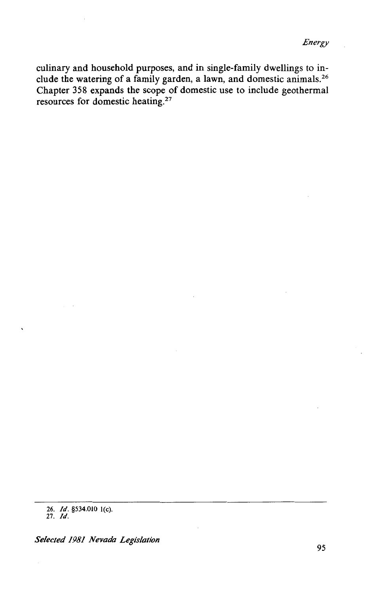culinary and household purposes, and in single-family dwellings to include the watering of a family garden, a lawn, and domestic animals. 26 Chapter 358 expands the scope of domestic use to include geothermal resources for domestic heating.<sup>27</sup>

*Selected 1981 Nevada Legislation* 

<sup>26.</sup> */d.* §534.010 l(c). 27. /d.